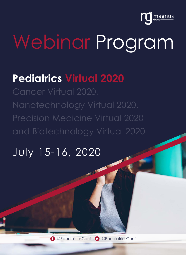

# Webinar Program

# **Pediatrics Virtual 2020**

Precision Medicine Virtual 2020 and Biotechnology Virtual 2020

# July 15-16, 2020

**C** @PaediatricsConf **D** @PaediatricsConf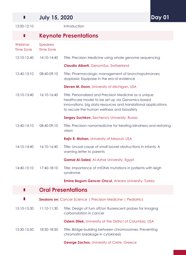## **July 15, 2020**

 $\blacksquare$ 

 $\blacksquare$ 

12:00-12:10 Introduction

**Day 01**

## **Keynote Presentations**

| Webinar<br><b>Time Zone</b> | <b>Speakers</b><br><b>Time Zone</b> |                                                                                                                                                                                                                            |
|-----------------------------|-------------------------------------|----------------------------------------------------------------------------------------------------------------------------------------------------------------------------------------------------------------------------|
| 12:10-12:40                 | 14:10-14:40                         | Title: Precision Medicine using whole genome sequencing                                                                                                                                                                    |
|                             |                                     | <b>Claudio Alberti, GenomSys, Switzerland</b>                                                                                                                                                                              |
| 12:40-13:10                 | 08:40-09:10                         | Title: Pharmacologic management of bronchopulmonary<br>dysplasia: Equipoise in the era of evidence                                                                                                                         |
|                             |                                     | Steven M. Donn, University of Michigan, USA                                                                                                                                                                                |
| 13:10-13:40                 | 16:10-16:40                         | Title: Personalized and Precision Medicine as a unique<br>healthcare model to be set up via Genomics-based<br>innovations, big data resources and translational applications<br>to secure the human wellness and biosafety |
|                             |                                     | <b>Sergey Suchkov, Sechenov University, Russia</b>                                                                                                                                                                         |
| $13:40-14:10$               | 08:40-09:10                         | Title: Precision nanomedicine for treating blindness and restoring<br>vision                                                                                                                                               |
|                             |                                     | Rajiv R. Mohan, University of Missouri, USA                                                                                                                                                                                |
| 14:10-14:40                 | 16:10-16:40                         | Title: Unusal cause of small bowel obstructions in infants: A<br>warning letter to parents                                                                                                                                 |
|                             |                                     | <b>Gamal Al-Saied, Al-Azhar University, Egypt</b>                                                                                                                                                                          |
| 14:40-15:10                 | 17:40-18:10                         | Title: Importance of mtDNA mutations in patients with leigh<br>syndrome                                                                                                                                                    |
|                             |                                     | <b>Emine Begum Gencer-Oncul, Ankara University, Turkey</b>                                                                                                                                                                 |
| П                           |                                     | <b>Oral Presentations</b>                                                                                                                                                                                                  |
|                             |                                     | Sessions on: Cancer Science   Precision Medicine   Pediatrics                                                                                                                                                              |
| 15:10-15:30                 | 11:10-11:30                         | Title: Design of turn off/on fluorescent probes for imaging<br>carbonylation in cancer                                                                                                                                     |
|                             |                                     | Ozlem Dilek, University of the District of Columbia, USA                                                                                                                                                                   |
| 15:30-15:50                 | 18:30-18:50                         | Title: Bridge-building between chromosomes: Preventing<br>chromatin breakage in cytokinesis                                                                                                                                |
|                             |                                     | <b>George Zachos, University of Crete, Greece</b>                                                                                                                                                                          |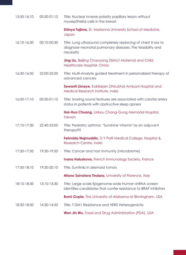| 15:50-16:10 | 00:50-01:10 | Title: Nuclear inverse polarity papillary lesion without<br>myoepithelial cells in the breast                                           |
|-------------|-------------|-----------------------------------------------------------------------------------------------------------------------------------------|
|             |             | Shinya Tajima, St. Marianna University School of Medicine,<br>Japan                                                                     |
| 16:10-16:30 | 00:10-00:30 | Title: Lung ultrasound completely replacing of chest X-ray to<br>diagnose neonatal pulmonary diseases: The feasibility and<br>necessity |
|             |             | <b>Jing Liu, Beijing Chaoyang District Maternal and Child</b><br>Healthcare Hospital, China                                             |
| 16:30-16:50 | 22:00-22:20 | Title: Multi-Analyte guided treatment in personalized therapy of<br>advanced cancers                                                    |
|             |             | Sewanti Limaye, Kokilaben Dhirubhai Ambani Hospital and<br>Medical Research Institute, India                                            |
| 16:50-17:10 | 00:50-01:10 | Title: Snoring sound features are associated with carotid artery<br>status in patients with obstructive sleep apnea                     |
|             |             | Hai-Hua Chuang, Linkou Chang-Gung Memorial Hospital,<br>Taiwan                                                                          |
| 17:10-17:30 | 22:40-23:00 | Title: Pediatric asthma: "Sunshine Vitamin" as an adjuvant<br>therapy??                                                                 |
|             |             | Fehmida Najmuddin, D Y Patil Medical College, Hospital &<br>Research Centre, India                                                      |
| 17:30-17:50 | 19:30-19:50 | Title: Cancer and host immunity (microbiome)                                                                                            |
|             |             | Ivana Haluskova, French Immunology Society, France                                                                                      |
| 17:50-18:10 | 19:50-20:10 | Title: Sunitinib in desmoid tumors                                                                                                      |
|             |             | <b>Miano Salvatora Tindara</b> , University of Florence, Italy                                                                          |
| 18:10-18:30 | 13:10-13:30 | Title: Large-scale Epigenome-wide Human shRNA screen<br>identifies candidates that confer resistance to BRAF inhibitors                 |
|             |             | Romi Gupta, The University of Alabama at Birmingham, USA                                                                                |
| 18:30-18:50 | 14:30-14:50 | Title: T-DM1 Resistance and HER2 Heterogenicity                                                                                         |
|             |             | Wen Jin Wu, Food and Drug Administration (FDA), USA                                                                                     |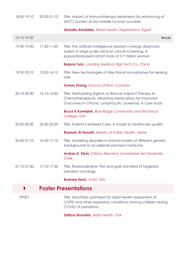| 18:50-19:10 | 20:50-21:10 | Title: Impact of immunotherapy treatments for enhancing of<br>(HCC) burden at low middle income countries                                                                  |
|-------------|-------------|----------------------------------------------------------------------------------------------------------------------------------------------------------------------------|
|             |             | Abdalla Abotaleb, World Health Organization, Egypt                                                                                                                         |
| 19:10-19:30 |             | <b>Break</b>                                                                                                                                                               |
| 19:30-19:50 | 11:30-11:50 | Title: The artificial intelligence-assisted cytology diagnostic<br>system in large-scale cervical cancer screening: A<br>populationbased cohort study of 0.7 million women |
|             |             | <b>Bojana Turic</b> , Landing Medical High Tech Co, China                                                                                                                  |
| 19:50-20:10 | 15:50-16:10 | Title: New technologies of directional microphones for hearing<br>aids                                                                                                     |
|             |             | Xubao Zhang, Sonova Unitron, Canada                                                                                                                                        |
| 20:10-20:30 | 16:10-16:30 | Title: Methylating Agents as Rescue Adjunct Therapy to<br>Chemotherapeutic Alkylating Medications for Improved<br>Outcomes in Chronic Lymphocytic Leukemia: A case study   |
|             |             | <b>Bruce K Kowiatek, Blue Ridge Community and Technical</b><br>College, USA                                                                                                |
| 20:30-20:50 | 23:30-23:50 | Title: Patient-Centered Care: A model to healthcare quality                                                                                                                |
|             |             | Rasmeh Al Huneiti, Ministry of Public Health, Qatar                                                                                                                        |
| 20:50-21:10 | 16:50-17:10 | Title: Modeling disorders in animal models of different genetic<br>backgrounds to accelerate precision medicine                                                            |
|             |             | Andres D. Klein, Clínica Alemana Universidad del Desarrollo,<br>Chile                                                                                                      |
| 21:10-21:30 | 17:10-17:30 | Title: Radioiodiodine- First and gold standard of targeted<br>precision oncology                                                                                           |
|             |             | <b>Barbara Hertz, M.Ed, USA</b>                                                                                                                                            |

#### **Poster Presentations**  $\blacksquare$

PP001 Title: Mouthlab optimized for rapid health assessment of COPD and other respiratory conditions among children during COVID-19 pandemic

**Sathya Elumalai,** Aidar Health, USA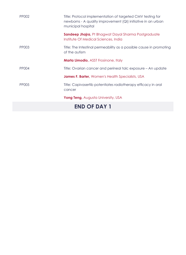| PP002        | Title: Protocol implementation of targeted CMV testing for<br>newborns - A quality improvement (QI) initiative in an urban<br>municipal hospital |
|--------------|--------------------------------------------------------------------------------------------------------------------------------------------------|
|              | <b>Sandeep Jhajra, Pt Bhagwat Dayal Sharma Postgraduate</b><br>Institute Of Medical Sciences, India                                              |
| PP003        | Title: The Intestinal permeability as a possible cause in promoting<br>of the autism                                                             |
|              | <b>Marta Limodio, ASST Frosinone, Italy</b>                                                                                                      |
| <b>PP004</b> | Title: Ovarian cancer and perineal talc exposure – An update                                                                                     |
|              | <b>James F. Barter, Women's Health Specialists, USA</b>                                                                                          |
| <b>PP005</b> | Title: Capivasertib potentiates radiotherapy efficacy in oral<br>cancer                                                                          |
|              | <b>Yong Teng, Augusta University, USA</b>                                                                                                        |
|              | <b>END OF DAY 1</b>                                                                                                                              |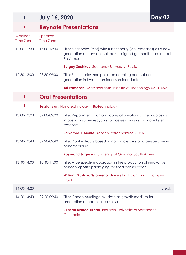#### **July 16, 2020**  $\blacksquare$

# **Day 02**

#### **Keynote Presentations**

| Webinar<br><b>Time Zone</b> | <b>Speakers</b><br><b>Time Zone</b> |                                                                                                                                                          |
|-----------------------------|-------------------------------------|----------------------------------------------------------------------------------------------------------------------------------------------------------|
| 12:00-12:30                 | 15:00-15:30                         | Title: Antibodies (Abs) with functionality (Ab-Proteases) as a new<br>generation of translational tools designed get healthcare model<br><b>Re-Armed</b> |
|                             |                                     | <b>Sergey Suchkov, Sechenov University, Russia</b>                                                                                                       |
| 12:30-13:00                 | 08:30-09:00                         | Title: Exciton-plasmon polariton coupling and hot carrier<br>generation in two-dimensional semiconductors                                                |
|                             |                                     | Ali Ramazani, Massachusetts Institute of Technology (MIT), USA                                                                                           |
|                             |                                     | <b>Oral Presentations</b>                                                                                                                                |
| Ш                           |                                     | <b>Sessions on: Nanotechnology   Biotechnology</b>                                                                                                       |
| 13:00-13:20                 | 09:00-09:20                         | Title: Repolymerization and compatibilization of thermoplastics<br>in post-consumer recycling processes by using Titanate Ester<br>catalysts             |
|                             |                                     | Salvatore J. Monte, Kenrich Petrochemicals, USA                                                                                                          |
| 13:20-13:40                 | 09:20-09:40                         | Title: Plant extracts based nanoparticles, A good perspective in<br>nanomedicine                                                                         |
|                             |                                     | Raymond Jagessar, University of Guyana, South America                                                                                                    |
| 13:40-14:00                 | 10:40-11:00                         | Title: A perspective approach in the production of innovative<br>nanocomposite packaging for food conservation                                           |
|                             |                                     | <b>William Gustavo Sganzerla, University of Campinas, Campinas,</b><br><b>Brazil</b>                                                                     |
| 14:00-14:20                 |                                     | <b>Break</b>                                                                                                                                             |
| 14:20-14:40                 | 09:20-09:40                         | Title: Cacao mucilage exudate as growth medium for<br>production of bacterial cellulose                                                                  |
|                             |                                     | Cristian Blanco-Tirado, Industrial University of Santander,                                                                                              |

Colombia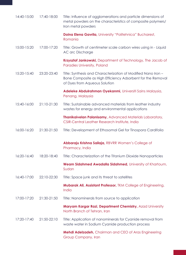| 14:40-15:00 | 17:40-18:00 | Title: Influence of agglomerations and particle dimensions of<br>metal powders on the characteristics of composite polymers/<br>Iron metal powders            |
|-------------|-------------|---------------------------------------------------------------------------------------------------------------------------------------------------------------|
|             |             | Doina Elena Gavrila, University "Politehnica" Bucharest,<br>Romania                                                                                           |
| 15:00-15:20 | 17:00-17:20 | Title: Growth of centimeter scale carbon wires using in - Liquid<br>AC arc Discharge                                                                          |
|             |             | Krzysztof Jankowski, Department of Technology, The Jacob of<br>Paradies University, Poland                                                                    |
| 15:20-15:40 | 23:20-23:40 | Title: Synthesis and Characterization of Modified Nano Iron -<br>Bone Composite as High Efficiency Adsorbent for the Removal<br>of Dyes from Aqueous Solution |
|             |             | Adeleke Abdulrahman Oyekanmi, Universiti Sains Malaysia,<br>Penang, Malaysia                                                                                  |
| 15:40-16:00 | 21:10-21:30 | Title: Sustainable advanced materials from leather industry<br>wastes for energy and environmental applications                                               |
|             |             | <b>Thanikaivelan Palanisamy, Advanced Materials Laboratory,</b><br>CSIR-Central Leather Research Institute, India                                             |
| 16:00-16:20 | 21:30-21:50 | Title: Development of Ethosomal Gel for Tinospora Cardifolia                                                                                                  |
|             |             | Abbaraju Krishna Sailaja, RBVRR Women's College of<br>Pharmacy, India                                                                                         |
| 16:20-16:40 | 18:20-18:40 | Title: Characterization of the Titanium Dioxide Nanoparticles                                                                                                 |
|             |             | Weam Sidahmed Awadalla Sidahmed, University of Khartoum,<br>Sudan                                                                                             |
| 16:40-17:00 | 22:10-22:30 | Title: Space junk and its threat to satellites                                                                                                                |
|             |             | Mubarak Ali, Assistant Professor, TKM College of Engineering,<br>India                                                                                        |
| 17:00-17:20 | 21:30-21:50 | Title: Nanominerals from source to application                                                                                                                |
|             |             | Maryam Kargar Razi, Department Chemistry, Azad University<br>North Branch of Tehran, Iran                                                                     |
| 17:20-17:40 | 21:50-22:10 | Title: Application of nanominerals for Cyanide removal from<br>waste water in Sodium Cyanide production process                                               |
|             |             | Mehdi Adelzadeh, Chairman and CEO of Aras Engineering<br>Group Company, Iran                                                                                  |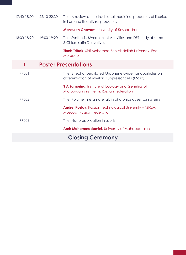| 17:40-18:00  | 22:10-22:30 | Title: A review of the traditional medicinal properties of licorice<br>in Iran and its antiviral properties      |
|--------------|-------------|------------------------------------------------------------------------------------------------------------------|
|              |             | <b>Mansureh Ghavam, University of Kashan, Iran</b>                                                               |
| 18:00-18:20  | 19:00-19:20 | Title: Synthesis, Myorelaxant Activities and DFT study of some<br>5-Chloroisatin Derivatives                     |
|              |             | <b>Zineb Tribak, Sidi Mohamed Ben Abdellah University, Fez</b><br>Morocco                                        |
|              |             | <b>Poster Presentations</b>                                                                                      |
| <b>PP001</b> |             | Title: Effect of pegylated Graphene oxide nanoparticles on<br>differentiation of myeloid suppressor cells (Mdsc) |
|              |             | S A Zamorina, Institute of Ecology and Genetics of<br>Microorganisms, Perm, Russian Federation                   |
| PP002        |             | Title: Polymer metamaterials in photonics as sensor systems                                                      |
|              |             | <b>Andrei Kozlov, Russian Technological University - MIREA,</b><br><b>Moscow, Russian Federation</b>             |
| PP003        |             | Title: Nano application in sports                                                                                |
|              |             | Amir Mohammadamini, University of Mahabad, Iran                                                                  |
|              |             | <b>Closing Ceremony</b>                                                                                          |